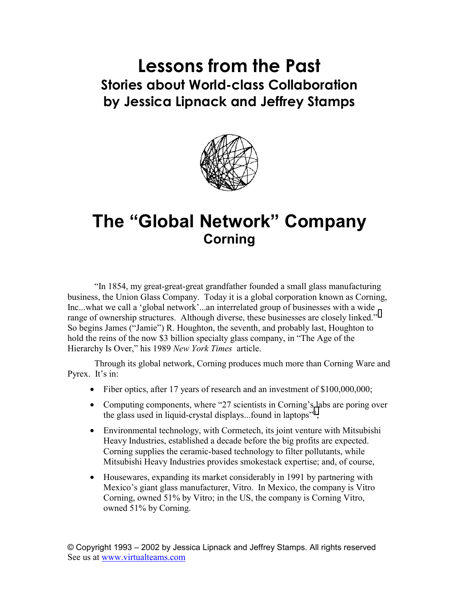## **Lessons from the Past Stories about World-class Collaboration by Jessica Lipnack and Jeffrey Stamps**



## **The "Global Network" Company Corning**

"In 1854, my great-great-great grandfather founded a small glass manufacturing business, the Union Glass Company. Today it is a global corporation known as Corning, Inc...what we call a 'global network'...an interrelated group of businesses with a wide rangeof ownership structures. Although diverse, these businesses are closely linked."<sup>i</sup> So begins James ("Jamie") R. Houghton, the seventh, and probably last, Houghton to hold the reins of the now \$3 billion specialty glass company, in "The Age of the Hierarchy Is Over," his 1989 *New York Times* article.

Through its global network, Corning produces much more than Corning Ware and Pyrex. It's in:

- Fiber optics, after 17 years of research and an investment of \$100,000,000;
- Computing components, where "27 scientists in Corning's labs are poring over the glass used in liquid-crystal displays...found in laptops<sup>"ii</sup>;
- Environmental technology, with Cormetech, its joint venture with Mitsubishi Heavy Industries, established a decade before the big profits are expected. Corning supplies the ceramic-based technology to filter pollutants, while Mitsubishi Heavy Industries provides smokestack expertise; and, of course,
- Housewares, expanding its market considerably in 1991 by partnering with Mexico's giant glass manufacturer, Vitro. In Mexico, the company is Vitro Corning, owned 51% by Vitro; in the US, the company is Corning Vitro, owned 51% by Corning.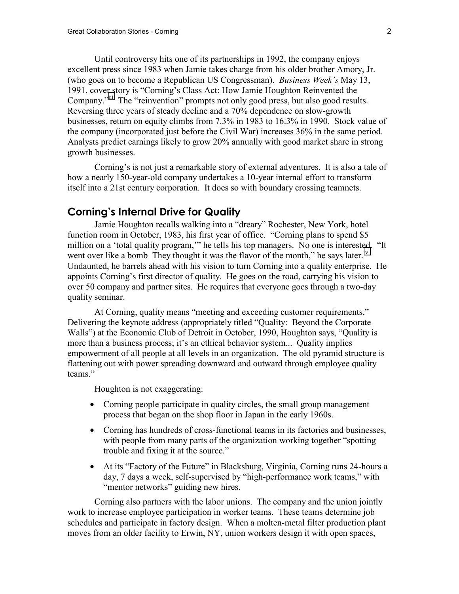Until controversy hits one of its partnerships in 1992, the company enjoys excellent press since 1983 when Jamie takes charge from his older brother Amory, Jr. (who goes on to become a Republican US Congressman). *Business Week's* May 13, 1991, cover story is "Corning's Class Act: How Jamie Houghton Reinvented the Company.<sup>"iii</sup> The "reinvention" prompts not only good press, but also good results. Reversing three years of steady decline and a 70% dependence on slow-growth businesses, return on equity climbs from 7.3% in 1983 to 16.3% in 1990. Stock value of the company (incorporated just before the Civil War) increases 36% in the same period. Analysts predict earnings likely to grow 20% annually with good market share in strong growth businesses.

Corning's is not just a remarkable story of external adventures. It is also a tale of how a nearly 150-year-old company undertakes a 10-year internal effort to transform itself into a 21st century corporation. It does so with boundary crossing teamnets.

## **Corning's Internal Drive for Quality**

Jamie Houghton recalls walking into a "dreary" Rochester, New York, hotel function room in October, 1983, his first year of office. "Corning plans to spend \$5 million on a 'total quality program,'" he tells his top managers. No one is interested. "It went over like a bomb They thought it was the flavor of the month," he says later.<sup>IV</sup> Undaunted, he barrels ahead with his vision to turn Corning into a quality enterprise. He appoints Corning's first director of quality. He goes on the road, carrying his vision to over 50 company and partner sites. He requires that everyone goes through a two-day quality seminar.

At Corning, quality means "meeting and exceeding customer requirements." Delivering the keynote address (appropriately titled "Quality: Beyond the Corporate Walls") at the Economic Club of Detroit in October, 1990, Houghton says, "Quality is more than a business process; it's an ethical behavior system... Quality implies empowerment of all people at all levels in an organization. The old pyramid structure is flattening out with power spreading downward and outward through employee quality teams."

Houghton is not exaggerating:

- Corning people participate in quality circles, the small group management process that began on the shop floor in Japan in the early 1960s.
- Corning has hundreds of cross-functional teams in its factories and businesses, with people from many parts of the organization working together "spotting" trouble and fixing it at the source."
- At its "Factory of the Future" in Blacksburg, Virginia, Corning runs 24-hours a day, 7 days a week, self-supervised by "high-performance work teams," with "mentor networks" guiding new hires.

Corning also partners with the labor unions. The company and the union jointly work to increase employee participation in worker teams. These teams determine job schedules and participate in factory design. When a molten-metal filter production plant moves from an older facility to Erwin, NY, union workers design it with open spaces,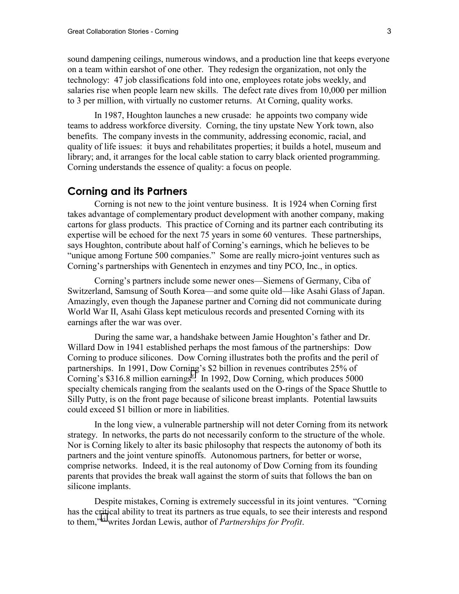sound dampening ceilings, numerous windows, and a production line that keeps everyone on a team within earshot of one other. They redesign the organization, not only the technology: 47 job classifications fold into one, employees rotate jobs weekly, and salaries rise when people learn new skills. The defect rate dives from 10,000 per million to 3 per million, with virtually no customer returns. At Corning, quality works.

In 1987, Houghton launches a new crusade: he appoints two company wide teams to address workforce diversity. Corning, the tiny upstate New York town, also benefits. The company invests in the community, addressing economic, racial, and quality of life issues: it buys and rehabilitates properties; it builds a hotel, museum and library; and, it arranges for the local cable station to carry black oriented programming. Corning understands the essence of quality: a focus on people.

## **Corning and its Partners**

Corning is not new to the joint venture business. It is 1924 when Corning first takes advantage of complementary product development with another company, making cartons for glass products. This practice of Corning and its partner each contributing its expertise will be echoed for the next 75 years in some 60 ventures. These partnerships, says Houghton, contribute about half of Corning's earnings, which he believes to be "unique among Fortune 500 companies." Some are really micro-joint ventures such as Corning's partnerships with Genentech in enzymes and tiny PCO, Inc., in optics.

Corning's partners include some newer ones—Siemens of Germany, Ciba of Switzerland, Samsung of South Korea—and some quite old—like Asahi Glass of Japan. Amazingly, even though the Japanese partner and Corning did not communicate during World War II, Asahi Glass kept meticulous records and presented Corning with its earnings after the war was over.

During the same war, a handshake between Jamie Houghton's father and Dr. Willard Dow in 1941 established perhaps the most famous of the partnerships: Dow Corning to produce silicones. Dow Corning illustrates both the profits and the peril of partnerships. In 1991, Dow Corning's \$2 billion in revenues contributes 25% of Corning's \$316.8 million earnings<sup>V</sup>. In 1992, Dow Corning, which produces 5000 specialty chemicals ranging from the sealants used on the O-rings of the Space Shuttle to Silly Putty, is on the front page because of silicone breast implants. Potential lawsuits could exceed \$1 billion or more in liabilities.

In the long view, a vulnerable partnership will not deter Corning from its network strategy. In networks, the parts do not necessarily conform to the structure of the whole. Nor is Corning likely to alter its basic philosophy that respects the autonomy of both its partners and the joint venture spinoffs. Autonomous partners, for better or worse, comprise networks. Indeed, it is the real autonomy of Dow Corning from its founding parents that provides the break wall against the storm of suits that follows the ban on silicone implants.

Despite mistakes, Corning is extremely successful in its joint ventures. "Corning has the critical ability to treat its partners as true equals, to see their interests and respond to them,"[vi](#page-4-0) writes Jordan Lewis, author of *Partnerships for Profit*.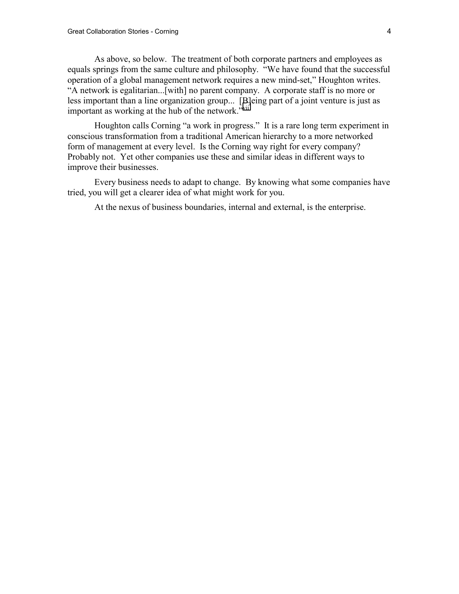As above, so below. The treatment of both corporate partners and employees as equals springs from the same culture and philosophy. "We have found that the successful operation of a global management network requires a new mind-set," Houghton writes. "A network is egalitarian...[with] no parent company. A corporate staff is no more or less important than a line organization group... [B]eing part of a joint venture is just as important as working at the hub of the network."[vii](#page-4-0)

Houghton calls Corning "a work in progress." It is a rare long term experiment in conscious transformation from a traditional American hierarchy to a more networked form of management at every level. Is the Corning way right for every company? Probably not. Yet other companies use these and similar ideas in different ways to improve their businesses.

Every business needs to adapt to change. By knowing what some companies have tried, you will get a clearer idea of what might work for you.

At the nexus of business boundaries, internal and external, is the enterprise.